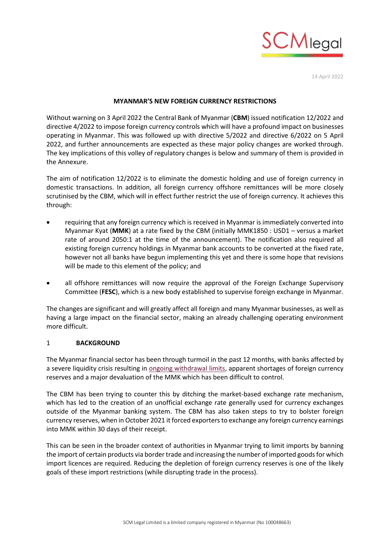

14 April 2022

## **MYANMAR'S NEW FOREIGN CURRENCY RESTRICTIONS**

Without warning on 3 April 2022 the Central Bank of Myanmar (**CBM**) issued notification 12/2022 and directive 4/2022 to impose foreign currency controls which will have a profound impact on businesses operating in Myanmar. This was followed up with directive 5/2022 and directive 6/2022 on 5 April 2022, and further announcements are expected as these major policy changes are worked through. The key implications of this volley of regulatory changes is below and summary of them is provided in the Annexure.

The aim of notification 12/2022 is to eliminate the domestic holding and use of foreign currency in domestic transactions. In addition, all foreign currency offshore remittances will be more closely scrutinised by the CBM, which will in effect further restrict the use of foreign currency. It achieves this through:

- requiring that any foreign currency which is received in Myanmar is immediately converted into Myanmar Kyat (**MMK**) at a rate fixed by the CBM (initially MMK1850 : USD1 – versus a market rate of around 2050:1 at the time of the announcement). The notification also required all existing foreign currency holdings in Myanmar bank accounts to be converted at the fixed rate, however not all banks have begun implementing this yet and there is some hope that revisions will be made to this element of the policy; and
- all offshore remittances will now require the approval of the Foreign Exchange Supervisory Committee (**FESC**), which is a new body established to supervise foreign exchange in Myanmar.

The changes are significant and will greatly affect all foreign and many Myanmar businesses, as well as having a large impact on the financial sector, making an already challenging operating environment more difficult.

### 1 **BACKGROUND**

The Myanmar financial sector has been through turmoil in the past 12 months, with banks affected by a severe liquidity crisis resulting in [ongoing withdrawal limits,](https://www.scm-legal.com/post/updates-to-cash-withdrawal-limits) apparent shortages of foreign currency reserves and a major devaluation of the MMK which has been difficult to control.

The CBM has been trying to counter this by ditching the market-based exchange rate mechanism, which has led to the creation of an unofficial exchange rate generally used for currency exchanges outside of the Myanmar banking system. The CBM has also taken steps to try to bolster foreign currency reserves, when in October 2021 it forced exporters to exchange any foreign currency earnings into MMK within 30 days of their receipt.

This can be seen in the broader context of authorities in Myanmar trying to limit imports by banning the import of certain products via border trade and increasing the number of imported goods for which import licences are required. Reducing the depletion of foreign currency reserves is one of the likely goals of these import restrictions (while disrupting trade in the process).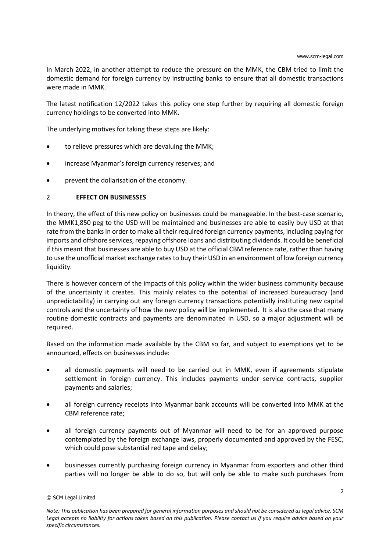In March 2022, in another attempt to reduce the pressure on the MMK, the CBM tried to limit the domestic demand for foreign currency by instructing banks to ensure that all domestic transactions were made in MMK.

The latest notification 12/2022 takes this policy one step further by requiring all domestic foreign currency holdings to be converted into MMK.

The underlying motives for taking these steps are likely:

- to relieve pressures which are devaluing the MMK;
- increase Myanmar's foreign currency reserves; and
- prevent the dollarisation of the economy.

## 2 **EFFECT ON BUSINESSES**

In theory, the effect of this new policy on businesses could be manageable. In the best-case scenario, the MMK1,850 peg to the USD will be maintained and businesses are able to easily buy USD at that rate from the banks in order to make all their required foreign currency payments, including paying for imports and offshore services, repaying offshore loans and distributing dividends. It could be beneficial if this meant that businesses are able to buy USD at the official CBM reference rate, rather than having to use the unofficial market exchange rates to buy their USD in an environment of low foreign currency liquidity.

There is however concern of the impacts of this policy within the wider business community because of the uncertainty it creates. This mainly relates to the potential of increased bureaucracy (and unpredictability) in carrying out any foreign currency transactions potentially instituting new capital controls and the uncertainty of how the new policy will be implemented. It is also the case that many routine domestic contracts and payments are denominated in USD, so a major adjustment will be required.

Based on the information made available by the CBM so far, and subject to exemptions yet to be announced, effects on businesses include:

- all domestic payments will need to be carried out in MMK, even if agreements stipulate settlement in foreign currency. This includes payments under service contracts, supplier payments and salaries;
- all foreign currency receipts into Myanmar bank accounts will be converted into MMK at the CBM reference rate;
- all foreign currency payments out of Myanmar will need to be for an approved purpose contemplated by the foreign exchange laws, properly documented and approved by the FESC, which could pose substantial red tape and delay;
- businesses currently purchasing foreign currency in Myanmar from exporters and other third parties will no longer be able to do so, but will only be able to make such purchases from

#### © SCM Legal Limited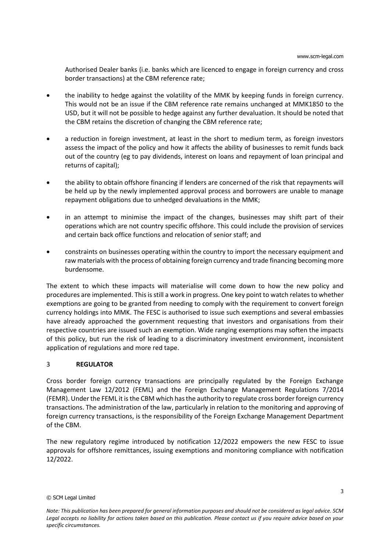Authorised Dealer banks (i.e. banks which are licenced to engage in foreign currency and cross border transactions) at the CBM reference rate;

- the inability to hedge against the volatility of the MMK by keeping funds in foreign currency. This would not be an issue if the CBM reference rate remains unchanged at MMK1850 to the USD, but it will not be possible to hedge against any further devaluation. It should be noted that the CBM retains the discretion of changing the CBM reference rate;
- a reduction in foreign investment, at least in the short to medium term, as foreign investors assess the impact of the policy and how it affects the ability of businesses to remit funds back out of the country (eg to pay dividends, interest on loans and repayment of loan principal and returns of capital);
- the ability to obtain offshore financing if lenders are concerned of the risk that repayments will be held up by the newly implemented approval process and borrowers are unable to manage repayment obligations due to unhedged devaluations in the MMK;
- in an attempt to minimise the impact of the changes, businesses may shift part of their operations which are not country specific offshore. This could include the provision of services and certain back office functions and relocation of senior staff; and
- constraints on businesses operating within the country to import the necessary equipment and raw materials with the process of obtaining foreign currency and trade financing becoming more burdensome.

The extent to which these impacts will materialise will come down to how the new policy and procedures are implemented. This is still a work in progress. One key point to watch relates to whether exemptions are going to be granted from needing to comply with the requirement to convert foreign currency holdings into MMK. The FESC is authorised to issue such exemptions and several embassies have already approached the government requesting that investors and organisations from their respective countries are issued such an exemption. Wide ranging exemptions may soften the impacts of this policy, but run the risk of leading to a discriminatory investment environment, inconsistent application of regulations and more red tape.

# 3 **REGULATOR**

Cross border foreign currency transactions are principally regulated by the Foreign Exchange Management Law 12/2012 (FEML) and the Foreign Exchange Management Regulations 7/2014 (FEMR). Under the FEML it is the CBM which has the authority to regulate cross border foreign currency transactions. The administration of the law, particularly in relation to the monitoring and approving of foreign currency transactions, is the responsibility of the Foreign Exchange Management Department of the CBM.

The new regulatory regime introduced by notification 12/2022 empowers the new FESC to issue approvals for offshore remittances, issuing exemptions and monitoring compliance with notification 12/2022.

#### © SCM Legal Limited

*Note: This publication has been prepared for general information purposes and should not be considered as legal advice. SCM Legal accepts no liability for actions taken based on this publication. Please contact us if you require advice based on your specific circumstances.*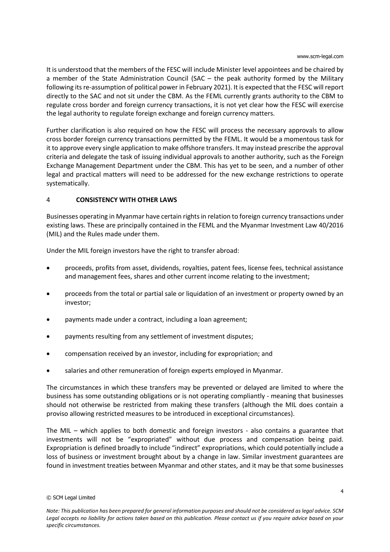It is understood that the members of the FESC will include Minister level appointees and be chaired by a member of the State Administration Council (SAC – the peak authority formed by the Military following its re-assumption of political power in February 2021). It is expected that the FESC will report directly to the SAC and not sit under the CBM. As the FEML currently grants authority to the CBM to regulate cross border and foreign currency transactions, it is not yet clear how the FESC will exercise the legal authority to regulate foreign exchange and foreign currency matters.

Further clarification is also required on how the FESC will process the necessary approvals to allow cross border foreign currency transactions permitted by the FEML. It would be a momentous task for it to approve every single application to make offshore transfers. It may instead prescribe the approval criteria and delegate the task of issuing individual approvals to another authority, such as the Foreign Exchange Management Department under the CBM. This has yet to be seen, and a number of other legal and practical matters will need to be addressed for the new exchange restrictions to operate systematically.

# 4 **CONSISTENCY WITH OTHER LAWS**

Businesses operating in Myanmar have certain rights in relation to foreign currency transactions under existing laws. These are principally contained in the FEML and the Myanmar Investment Law 40/2016 (MIL) and the Rules made under them.

Under the MIL foreign investors have the right to transfer abroad:

- proceeds, profits from asset, dividends, royalties, patent fees, license fees, technical assistance and management fees, shares and other current income relating to the investment;
- proceeds from the total or partial sale or liquidation of an investment or property owned by an investor;
- payments made under a contract, including a loan agreement;
- payments resulting from any settlement of investment disputes;
- compensation received by an investor, including for expropriation; and
- salaries and other remuneration of foreign experts employed in Myanmar.

The circumstances in which these transfers may be prevented or delayed are limited to where the business has some outstanding obligations or is not operating compliantly - meaning that businesses should not otherwise be restricted from making these transfers (although the MIL does contain a proviso allowing restricted measures to be introduced in exceptional circumstances).

The MIL – which applies to both domestic and foreign investors - also contains a guarantee that investments will not be "expropriated" without due process and compensation being paid. Expropriation is defined broadly to include "indirect" expropriations, which could potentially include a loss of business or investment brought about by a change in law. Similar investment guarantees are found in investment treaties between Myanmar and other states, and it may be that some businesses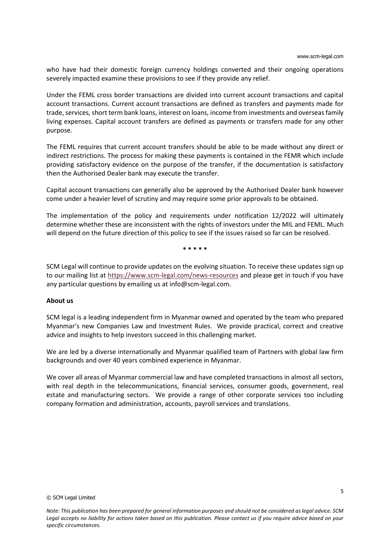who have had their domestic foreign currency holdings converted and their ongoing operations severely impacted examine these provisions to see if they provide any relief.

Under the FEML cross border transactions are divided into current account transactions and capital account transactions. Current account transactions are defined as transfers and payments made for trade, services, short term bank loans, interest on loans, income from investments and overseas family living expenses. Capital account transfers are defined as payments or transfers made for any other purpose.

The FEML requires that current account transfers should be able to be made without any direct or indirect restrictions. The process for making these payments is contained in the FEMR which include providing satisfactory evidence on the purpose of the transfer, if the documentation is satisfactory then the Authorised Dealer bank may execute the transfer.

Capital account transactions can generally also be approved by the Authorised Dealer bank however come under a heavier level of scrutiny and may require some prior approvals to be obtained.

The implementation of the policy and requirements under notification 12/2022 will ultimately determine whether these are inconsistent with the rights of investors under the MIL and FEML. Much will depend on the future direction of this policy to see if the issues raised so far can be resolved.

**\* \* \* \* \***

SCM Legal will continue to provide updates on the evolving situation. To receive these updates sign up to our mailing list at<https://www.scm-legal.com/news-resources> and please get in touch if you have any particular questions by emailing us at info@scm-legal.com.

### **About us**

SCM legal is a leading independent firm in Myanmar owned and operated by the team who prepared Myanmar's new Companies Law and Investment Rules. We provide practical, correct and creative advice and insights to help investors succeed in this challenging market.

We are led by a diverse internationally and Myanmar qualified team of Partners with global law firm backgrounds and over 40 years combined experience in Myanmar.

We cover all areas of Myanmar commercial law and have completed transactions in almost all sectors, with real depth in the telecommunications, financial services, consumer goods, government, real estate and manufacturing sectors. We provide a range of other corporate services too including company formation and administration, accounts, payroll services and translations.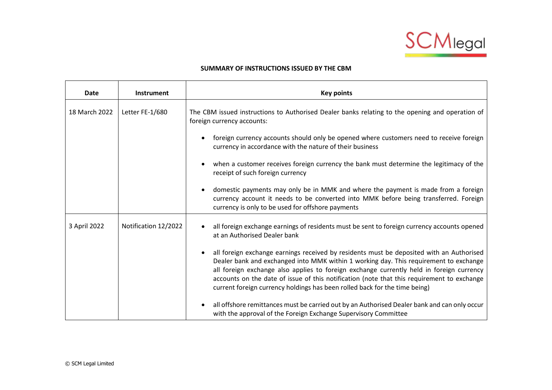

# **SUMMARY OF INSTRUCTIONS ISSUED BY THE CBM**

| <b>Date</b>   | <b>Instrument</b>    | <b>Key points</b>                                                                                                                                                                                                                                                                                                                                                                                                                                                      |
|---------------|----------------------|------------------------------------------------------------------------------------------------------------------------------------------------------------------------------------------------------------------------------------------------------------------------------------------------------------------------------------------------------------------------------------------------------------------------------------------------------------------------|
| 18 March 2022 | Letter FE-1/680      | The CBM issued instructions to Authorised Dealer banks relating to the opening and operation of<br>foreign currency accounts:                                                                                                                                                                                                                                                                                                                                          |
|               |                      | foreign currency accounts should only be opened where customers need to receive foreign<br>currency in accordance with the nature of their business                                                                                                                                                                                                                                                                                                                    |
|               |                      | when a customer receives foreign currency the bank must determine the legitimacy of the<br>receipt of such foreign currency                                                                                                                                                                                                                                                                                                                                            |
|               |                      | domestic payments may only be in MMK and where the payment is made from a foreign<br>$\bullet$<br>currency account it needs to be converted into MMK before being transferred. Foreign<br>currency is only to be used for offshore payments                                                                                                                                                                                                                            |
| 3 April 2022  | Notification 12/2022 | all foreign exchange earnings of residents must be sent to foreign currency accounts opened<br>at an Authorised Dealer bank                                                                                                                                                                                                                                                                                                                                            |
|               |                      | all foreign exchange earnings received by residents must be deposited with an Authorised<br>$\bullet$<br>Dealer bank and exchanged into MMK within 1 working day. This requirement to exchange<br>all foreign exchange also applies to foreign exchange currently held in foreign currency<br>accounts on the date of issue of this notification (note that this requirement to exchange<br>current foreign currency holdings has been rolled back for the time being) |
|               |                      | all offshore remittances must be carried out by an Authorised Dealer bank and can only occur<br>$\bullet$<br>with the approval of the Foreign Exchange Supervisory Committee                                                                                                                                                                                                                                                                                           |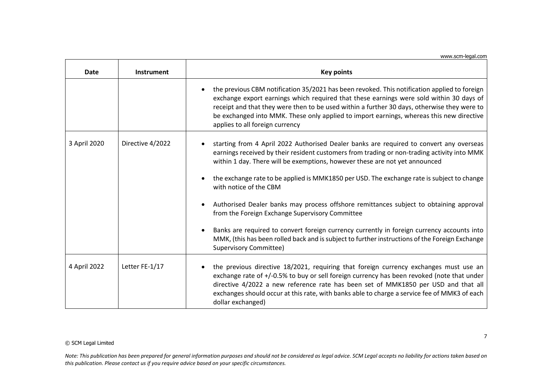www.scm-legal.com

| <b>Date</b>  | <b>Instrument</b> | <b>Key points</b>                                                                                                                                                                                                                                                                                                                                                                                                     |
|--------------|-------------------|-----------------------------------------------------------------------------------------------------------------------------------------------------------------------------------------------------------------------------------------------------------------------------------------------------------------------------------------------------------------------------------------------------------------------|
|              |                   | the previous CBM notification 35/2021 has been revoked. This notification applied to foreign<br>exchange export earnings which required that these earnings were sold within 30 days of<br>receipt and that they were then to be used within a further 30 days, otherwise they were to<br>be exchanged into MMK. These only applied to import earnings, whereas this new directive<br>applies to all foreign currency |
| 3 April 2020 | Directive 4/2022  | starting from 4 April 2022 Authorised Dealer banks are required to convert any overseas<br>earnings received by their resident customers from trading or non-trading activity into MMK<br>within 1 day. There will be exemptions, however these are not yet announced                                                                                                                                                 |
|              |                   | the exchange rate to be applied is MMK1850 per USD. The exchange rate is subject to change<br>with notice of the CBM                                                                                                                                                                                                                                                                                                  |
|              |                   | Authorised Dealer banks may process offshore remittances subject to obtaining approval<br>from the Foreign Exchange Supervisory Committee                                                                                                                                                                                                                                                                             |
|              |                   | Banks are required to convert foreign currency currently in foreign currency accounts into<br>MMK, (this has been rolled back and is subject to further instructions of the Foreign Exchange<br><b>Supervisory Committee)</b>                                                                                                                                                                                         |
| 4 April 2022 | Letter FE-1/17    | the previous directive 18/2021, requiring that foreign currency exchanges must use an<br>exchange rate of +/-0.5% to buy or sell foreign currency has been revoked (note that under<br>directive 4/2022 a new reference rate has been set of MMK1850 per USD and that all<br>exchanges should occur at this rate, with banks able to charge a service fee of MMK3 of each<br>dollar exchanged)                        |

## © SCM Legal Limited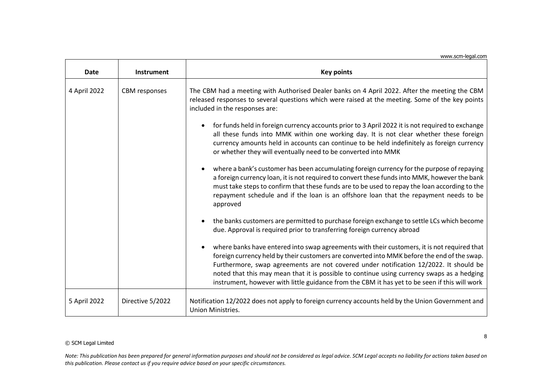| <b>Date</b>  | <b>Instrument</b> | <b>Key points</b>                                                                                                                                                                                                                                                                                                                                                                                                                                                                       |
|--------------|-------------------|-----------------------------------------------------------------------------------------------------------------------------------------------------------------------------------------------------------------------------------------------------------------------------------------------------------------------------------------------------------------------------------------------------------------------------------------------------------------------------------------|
| 4 April 2022 | CBM responses     | The CBM had a meeting with Authorised Dealer banks on 4 April 2022. After the meeting the CBM<br>released responses to several questions which were raised at the meeting. Some of the key points<br>included in the responses are:                                                                                                                                                                                                                                                     |
|              |                   | for funds held in foreign currency accounts prior to 3 April 2022 it is not required to exchange<br>٠<br>all these funds into MMK within one working day. It is not clear whether these foreign<br>currency amounts held in accounts can continue to be held indefinitely as foreign currency<br>or whether they will eventually need to be converted into MMK                                                                                                                          |
|              |                   | where a bank's customer has been accumulating foreign currency for the purpose of repaying<br>a foreign currency loan, it is not required to convert these funds into MMK, however the bank<br>must take steps to confirm that these funds are to be used to repay the loan according to the<br>repayment schedule and if the loan is an offshore loan that the repayment needs to be<br>approved                                                                                       |
|              |                   | the banks customers are permitted to purchase foreign exchange to settle LCs which become<br>$\bullet$<br>due. Approval is required prior to transferring foreign currency abroad                                                                                                                                                                                                                                                                                                       |
|              |                   | where banks have entered into swap agreements with their customers, it is not required that<br>٠<br>foreign currency held by their customers are converted into MMK before the end of the swap.<br>Furthermore, swap agreements are not covered under notification 12/2022. It should be<br>noted that this may mean that it is possible to continue using currency swaps as a hedging<br>instrument, however with little guidance from the CBM it has yet to be seen if this will work |
| 5 April 2022 | Directive 5/2022  | Notification 12/2022 does not apply to foreign currency accounts held by the Union Government and<br>Union Ministries.                                                                                                                                                                                                                                                                                                                                                                  |

## © SCM Legal Limited